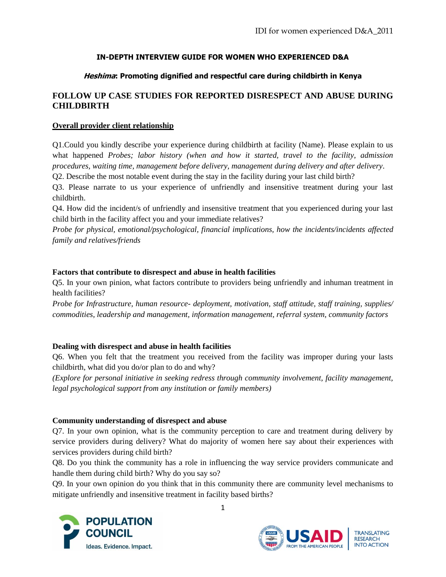## **IN-DEPTH INTERVIEW GUIDE FOR WOMEN WHO EXPERIENCED D&A**

## **Heshima: Promoting dignified and respectful care during childbirth in Kenya**

# **FOLLOW UP CASE STUDIES FOR REPORTED DISRESPECT AND ABUSE DURING CHILDBIRTH**

### **Overall provider client relationship**

Q1.Could you kindly describe your experience during childbirth at facility (Name). Please explain to us what happened *Probes; labor history (when and how it started, travel to the facility, admission procedures, waiting time, management before delivery, management during delivery and after delivery*. Q2. Describe the most notable event during the stay in the facility during your last child birth?

Q3. Please narrate to us your experience of unfriendly and insensitive treatment during your last childbirth.

Q4. How did the incident/s of unfriendly and insensitive treatment that you experienced during your last child birth in the facility affect you and your immediate relatives?

*Probe for physical, emotional/psychological, financial implications, how the incidents/incidents affected family and relatives/friends* 

#### **Factors that contribute to disrespect and abuse in health facilities**

Q5. In your own pinion, what factors contribute to providers being unfriendly and inhuman treatment in health facilities?

*Probe for Infrastructure, human resource- deployment, motivation, staff attitude, staff training, supplies/ commodities, leadership and management, information management, referral system, community factors*

### **Dealing with disrespect and abuse in health facilities**

Q6. When you felt that the treatment you received from the facility was improper during your lasts childbirth, what did you do/or plan to do and why?

*(Explore for personal initiative in seeking redress through community involvement, facility management, legal psychological support from any institution or family members)*

#### **Community understanding of disrespect and abuse**

Q7. In your own opinion, what is the community perception to care and treatment during delivery by service providers during delivery? What do majority of women here say about their experiences with services providers during child birth?

Q8. Do you think the community has a role in influencing the way service providers communicate and handle them during child birth? Why do you say so?

Q9. In your own opinion do you think that in this community there are community level mechanisms to mitigate unfriendly and insensitive treatment in facility based births?